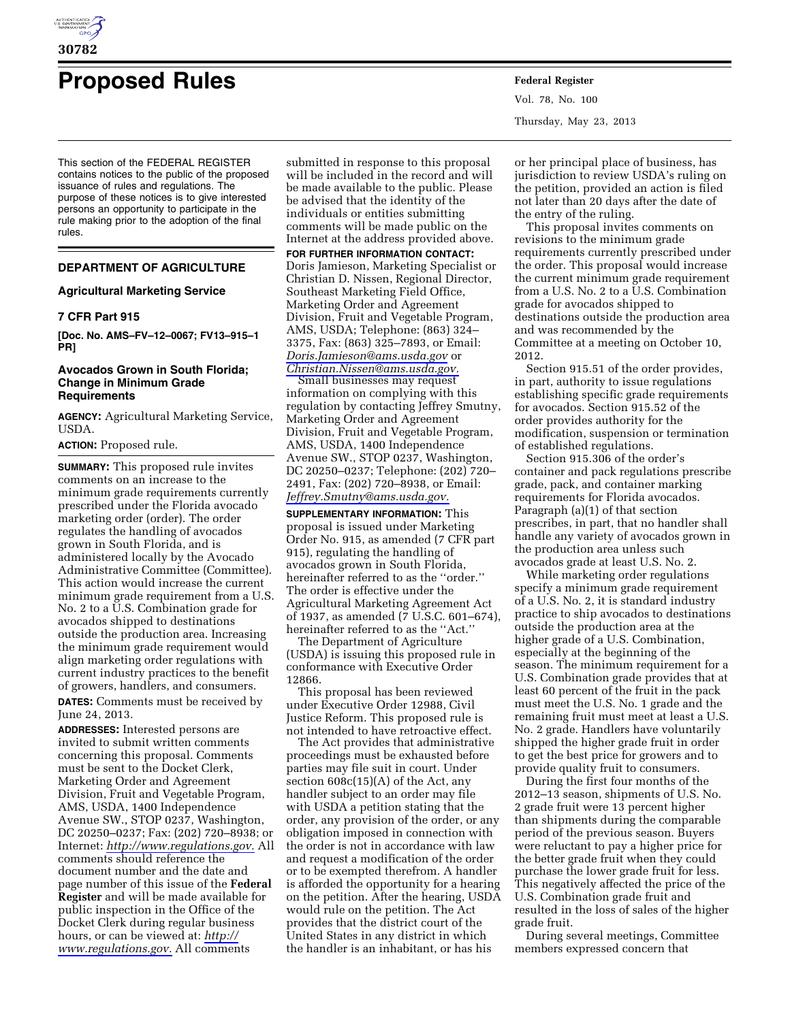

# **Proposed Rules Federal Register**

This section of the FEDERAL REGISTER contains notices to the public of the proposed issuance of rules and regulations. The purpose of these notices is to give interested persons an opportunity to participate in the rule making prior to the adoption of the final rules.

# **DEPARTMENT OF AGRICULTURE**

# **Agricultural Marketing Service**

## **7 CFR Part 915**

**[Doc. No. AMS–FV–12–0067; FV13–915–1 PR]** 

## **Avocados Grown in South Florida; Change in Minimum Grade Requirements**

**AGENCY:** Agricultural Marketing Service, USDA.

# **ACTION:** Proposed rule.

**SUMMARY:** This proposed rule invites comments on an increase to the minimum grade requirements currently prescribed under the Florida avocado marketing order (order). The order regulates the handling of avocados grown in South Florida, and is administered locally by the Avocado Administrative Committee (Committee). This action would increase the current minimum grade requirement from a U.S. No. 2 to a U.S. Combination grade for avocados shipped to destinations outside the production area. Increasing the minimum grade requirement would align marketing order regulations with current industry practices to the benefit of growers, handlers, and consumers. **DATES:** Comments must be received by June 24, 2013.

**ADDRESSES:** Interested persons are invited to submit written comments concerning this proposal. Comments must be sent to the Docket Clerk, Marketing Order and Agreement Division, Fruit and Vegetable Program, AMS, USDA, 1400 Independence Avenue SW., STOP 0237, Washington, DC 20250–0237; Fax: (202) 720–8938; or Internet: *[http://www.regulations.gov.](http://www.regulations.gov)* All comments should reference the document number and the date and page number of this issue of the **Federal Register** and will be made available for public inspection in the Office of the Docket Clerk during regular business hours, or can be viewed at: *[http://](http://www.regulations.gov)  [www.regulations.gov.](http://www.regulations.gov)* All comments

submitted in response to this proposal will be included in the record and will be made available to the public. Please be advised that the identity of the individuals or entities submitting comments will be made public on the Internet at the address provided above. **FOR FURTHER INFORMATION CONTACT:**  Doris Jamieson, Marketing Specialist or Christian D. Nissen, Regional Director, Southeast Marketing Field Office, Marketing Order and Agreement Division, Fruit and Vegetable Program, AMS, USDA; Telephone: (863) 324– 3375, Fax: (863) 325–7893, or Email: *[Doris.Jamieson@ams.usda.gov](mailto:Doris.Jamieson@ams.usda.gov)* or

*[Christian.Nissen@ams.usda.gov.](mailto:Christian.Nissen@ams.usda.gov)*  Small businesses may request information on complying with this regulation by contacting Jeffrey Smutny, Marketing Order and Agreement Division, Fruit and Vegetable Program, AMS, USDA, 1400 Independence Avenue SW., STOP 0237, Washington, DC 20250–0237; Telephone: (202) 720– 2491, Fax: (202) 720–8938, or Email: *[Jeffrey.Smutny@ams.usda.gov.](mailto:Jeffrey.Smutny@ams.usda.gov)* 

**SUPPLEMENTARY INFORMATION:** This proposal is issued under Marketing Order No. 915, as amended (7 CFR part 915), regulating the handling of avocados grown in South Florida, hereinafter referred to as the ''order.'' The order is effective under the Agricultural Marketing Agreement Act of 1937, as amended (7 U.S.C. 601–674), hereinafter referred to as the ''Act.''

The Department of Agriculture (USDA) is issuing this proposed rule in conformance with Executive Order 12866.

This proposal has been reviewed under Executive Order 12988, Civil Justice Reform. This proposed rule is not intended to have retroactive effect.

The Act provides that administrative proceedings must be exhausted before parties may file suit in court. Under section 608c(15)(A) of the Act, any handler subject to an order may file with USDA a petition stating that the order, any provision of the order, or any obligation imposed in connection with the order is not in accordance with law and request a modification of the order or to be exempted therefrom. A handler is afforded the opportunity for a hearing on the petition. After the hearing, USDA would rule on the petition. The Act provides that the district court of the United States in any district in which the handler is an inhabitant, or has his

Vol. 78, No. 100 Thursday, May 23, 2013

or her principal place of business, has jurisdiction to review USDA's ruling on the petition, provided an action is filed not later than 20 days after the date of the entry of the ruling.

This proposal invites comments on revisions to the minimum grade requirements currently prescribed under the order. This proposal would increase the current minimum grade requirement from a U.S. No. 2 to a U.S. Combination grade for avocados shipped to destinations outside the production area and was recommended by the Committee at a meeting on October 10, 2012.

Section 915.51 of the order provides, in part, authority to issue regulations establishing specific grade requirements for avocados. Section 915.52 of the order provides authority for the modification, suspension or termination of established regulations.

Section 915.306 of the order's container and pack regulations prescribe grade, pack, and container marking requirements for Florida avocados. Paragraph (a)(1) of that section prescribes, in part, that no handler shall handle any variety of avocados grown in the production area unless such avocados grade at least U.S. No. 2.

While marketing order regulations specify a minimum grade requirement of a U.S. No. 2, it is standard industry practice to ship avocados to destinations outside the production area at the higher grade of a U.S. Combination, especially at the beginning of the season. The minimum requirement for a U.S. Combination grade provides that at least 60 percent of the fruit in the pack must meet the U.S. No. 1 grade and the remaining fruit must meet at least a U.S. No. 2 grade. Handlers have voluntarily shipped the higher grade fruit in order to get the best price for growers and to provide quality fruit to consumers.

During the first four months of the 2012–13 season, shipments of U.S. No. 2 grade fruit were 13 percent higher than shipments during the comparable period of the previous season. Buyers were reluctant to pay a higher price for the better grade fruit when they could purchase the lower grade fruit for less. This negatively affected the price of the U.S. Combination grade fruit and resulted in the loss of sales of the higher grade fruit.

During several meetings, Committee members expressed concern that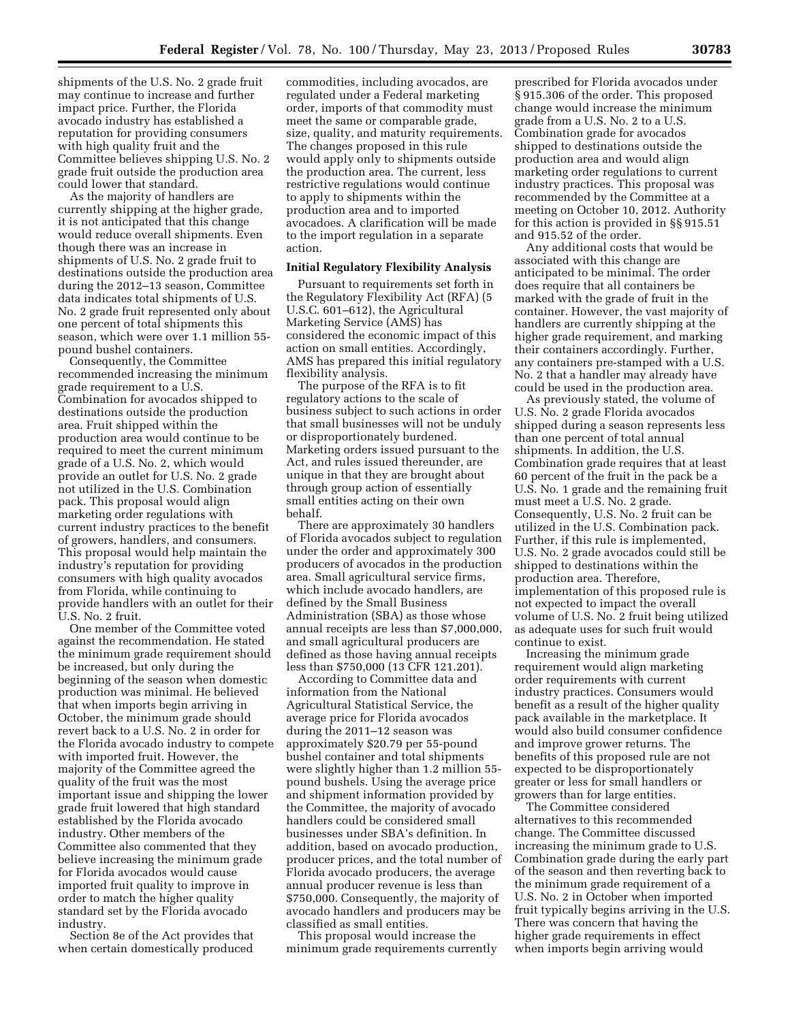shipments of the U.S. No. 2 grade fruit may continue to increase and further impact price. Further, the Florida avocado industry has established a reputation for providing consumers with high quality fruit and the Committee believes shipping U.S. No. 2 grade fruit outside the production area could lower that standard.

As the majority of handlers are currently shipping at the higher grade, it is not anticipated that this change would reduce overall shipments. Even though there was an increase in shipments of U.S. No. 2 grade fruit to destinations outside the production area during the 2012–13 season, Committee data indicates total shipments of U.S. No. 2 grade fruit represented only about one percent of total shipments this season, which were over 1.1 million 55 pound bushel containers.

Consequently, the Committee recommended increasing the minimum grade requirement to a U.S. Combination for avocados shipped to destinations outside the production area. Fruit shipped within the production area would continue to be required to meet the current minimum grade of a U.S. No. 2, which would provide an outlet for U.S. No. 2 grade not utilized in the U.S. Combination pack. This proposal would align marketing order regulations with current industry practices to the benefit of growers, handlers, and consumers. This proposal would help maintain the industry's reputation for providing consumers with high quality avocados from Florida, while continuing to provide handlers with an outlet for their U.S. No. 2 fruit.

One member of the Committee voted against the recommendation. He stated the minimum grade requirement should be increased, but only during the beginning of the season when domestic production was minimal. He believed that when imports begin arriving in October, the minimum grade should revert back to a U.S. No. 2 in order for the Florida avocado industry to compete with imported fruit. However, the majority of the Committee agreed the quality of the fruit was the most important issue and shipping the lower grade fruit lowered that high standard established by the Florida avocado industry. Other members of the Committee also commented that they believe increasing the minimum grade for Florida avocados would cause imported fruit quality to improve in order to match the higher quality standard set by the Florida avocado industry.

Section 8e of the Act provides that when certain domestically produced commodities, including avocados, are regulated under a Federal marketing order, imports of that commodity must meet the same or comparable grade, size, quality, and maturity requirements. The changes proposed in this rule would apply only to shipments outside the production area. The current, less restrictive regulations would continue to apply to shipments within the production area and to imported avocadoes. A clarification will be made to the import regulation in a separate action.

## **Initial Regulatory Flexibility Analysis**

Pursuant to requirements set forth in the Regulatory Flexibility Act (RFA) (5 U.S.C. 601–612), the Agricultural Marketing Service (AMS) has considered the economic impact of this action on small entities. Accordingly, AMS has prepared this initial regulatory flexibility analysis.

The purpose of the RFA is to fit regulatory actions to the scale of business subject to such actions in order that small businesses will not be unduly or disproportionately burdened. Marketing orders issued pursuant to the Act, and rules issued thereunder, are unique in that they are brought about through group action of essentially small entities acting on their own behalf.

There are approximately 30 handlers of Florida avocados subject to regulation under the order and approximately 300 producers of avocados in the production area. Small agricultural service firms, which include avocado handlers, are defined by the Small Business Administration (SBA) as those whose annual receipts are less than \$7,000,000, and small agricultural producers are defined as those having annual receipts less than \$750,000 (13 CFR 121.201).

According to Committee data and information from the National Agricultural Statistical Service, the average price for Florida avocados during the 2011–12 season was approximately \$20.79 per 55-pound bushel container and total shipments were slightly higher than 1.2 million 55 pound bushels. Using the average price and shipment information provided by the Committee, the majority of avocado handlers could be considered small businesses under SBA's definition. In addition, based on avocado production, producer prices, and the total number of Florida avocado producers, the average annual producer revenue is less than \$750,000. Consequently, the majority of avocado handlers and producers may be classified as small entities.

This proposal would increase the minimum grade requirements currently

prescribed for Florida avocados under § 915.306 of the order. This proposed change would increase the minimum grade from a U.S. No. 2 to a U.S. Combination grade for avocados shipped to destinations outside the production area and would align marketing order regulations to current industry practices. This proposal was recommended by the Committee at a meeting on October 10, 2012. Authority for this action is provided in §§ 915.51 and 915.52 of the order.

Any additional costs that would be associated with this change are anticipated to be minimal. The order does require that all containers be marked with the grade of fruit in the container. However, the vast majority of handlers are currently shipping at the higher grade requirement, and marking their containers accordingly. Further, any containers pre-stamped with a U.S. No. 2 that a handler may already have could be used in the production area.

As previously stated, the volume of U.S. No. 2 grade Florida avocados shipped during a season represents less than one percent of total annual shipments. In addition, the U.S. Combination grade requires that at least 60 percent of the fruit in the pack be a U.S. No. 1 grade and the remaining fruit must meet a U.S. No. 2 grade. Consequently, U.S. No. 2 fruit can be utilized in the U.S. Combination pack. Further, if this rule is implemented, U.S. No. 2 grade avocados could still be shipped to destinations within the production area. Therefore, implementation of this proposed rule is not expected to impact the overall volume of U.S. No. 2 fruit being utilized as adequate uses for such fruit would continue to exist.

Increasing the minimum grade requirement would align marketing order requirements with current industry practices. Consumers would benefit as a result of the higher quality pack available in the marketplace. It would also build consumer confidence and improve grower returns. The benefits of this proposed rule are not expected to be disproportionately greater or less for small handlers or growers than for large entities.

The Committee considered alternatives to this recommended change. The Committee discussed increasing the minimum grade to U.S. Combination grade during the early part of the season and then reverting back to the minimum grade requirement of a U.S. No. 2 in October when imported fruit typically begins arriving in the U.S. There was concern that having the higher grade requirements in effect when imports begin arriving would